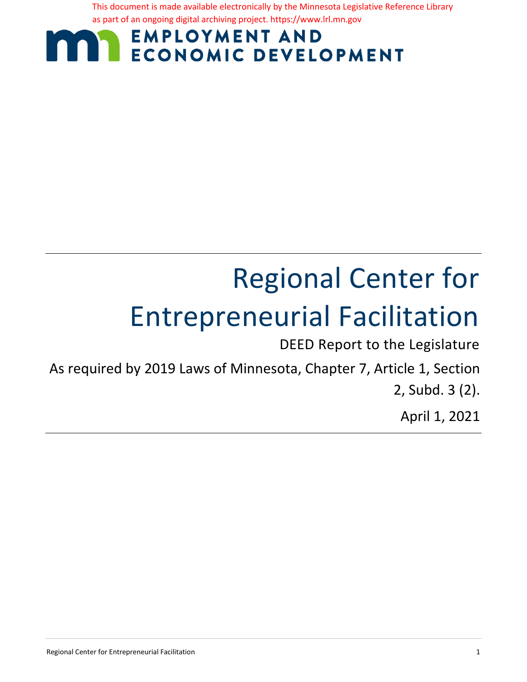This document is made available electronically by the Minnesota Legislative Reference Library as part of an ongoing digital archiving project. https://www.lrl.mn.gov

# **EMPLOYMENT AND ECONOMIC DEVELOPMENT**

# Regional Center for Entrepreneurial Facilitation

DEED Report to the Legislature

As required by 2019 Laws of Minnesota, Chapter 7, Article 1, Section 2, Subd. 3 (2).

April 1, 2021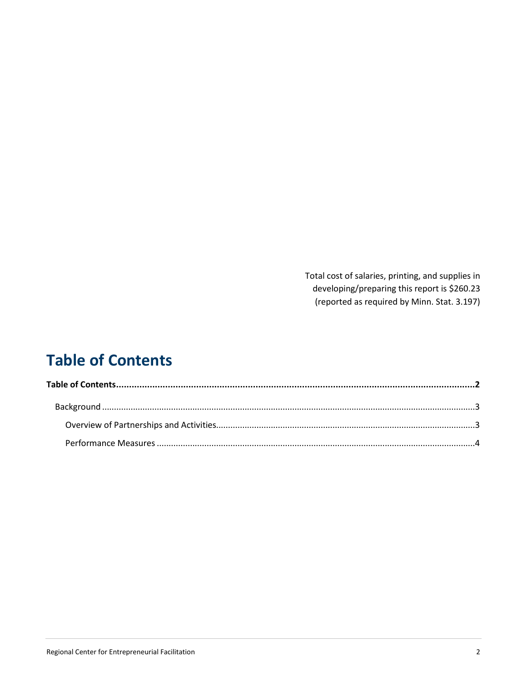Total cost of salaries, printing, and supplies in developing/preparing this report is \$260.23 (reported as required by Minn. Stat. 3.197)

# <span id="page-1-0"></span>**Table of Contents**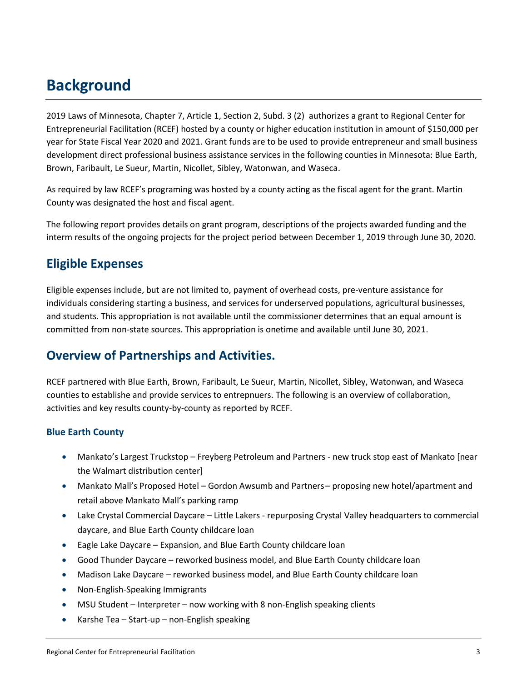## <span id="page-2-0"></span>**Background**

2019 Laws of Minnesota, Chapter 7, Article 1, Section 2, Subd. 3 (2) authorizes a grant to Regional Center for Entrepreneurial Facilitation (RCEF) hosted by a county or higher education institution in amount of \$150,000 per year for State Fiscal Year 2020 and 2021. Grant funds are to be used to provide entrepreneur and small business development direct professional business assistance services in the following counties in Minnesota: Blue Earth, Brown, Faribault, Le Sueur, Martin, Nicollet, Sibley, Watonwan, and Waseca.

As required by law RCEF's programing was hosted by a county acting as the fiscal agent for the grant. Martin County was designated the host and fiscal agent.

The following report provides details on grant program, descriptions of the projects awarded funding and the interm results of the ongoing projects for the project period between December 1, 2019 through June 30, 2020.

## **Eligible Expenses**

Eligible expenses include, but are not limited to, payment of overhead costs, pre-venture assistance for individuals considering starting a business, and services for underserved populations, agricultural businesses, and students. This appropriation is not available until the commissioner determines that an equal amount is committed from non-state sources. This appropriation is onetime and available until June 30, 2021.

## <span id="page-2-1"></span>**Overview of Partnerships and Activities.**

RCEF partnered with Blue Earth, Brown, Faribault, Le Sueur, Martin, Nicollet, Sibley, Watonwan, and Waseca counties to establishe and provide services to entrepnuers. The following is an overview of collaboration, activities and key results county-by-county as reported by RCEF.

#### **Blue Earth County**

- Mankato's Largest Truckstop Freyberg Petroleum and Partners new truck stop east of Mankato [near the Walmart distribution center]
- Mankato Mall's Proposed Hotel Gordon Awsumb and Partners proposing new hotel/apartment and retail above Mankato Mall's parking ramp
- Lake Crystal Commercial Daycare Little Lakers repurposing Crystal Valley headquarters to commercial daycare, and Blue Earth County childcare loan
- Eagle Lake Daycare Expansion, and Blue Earth County childcare loan
- Good Thunder Daycare reworked business model, and Blue Earth County childcare loan
- Madison Lake Daycare reworked business model, and Blue Earth County childcare loan
- Non-English-Speaking Immigrants
- MSU Student Interpreter now working with 8 non-English speaking clients
- Karshe Tea Start-up non-English speaking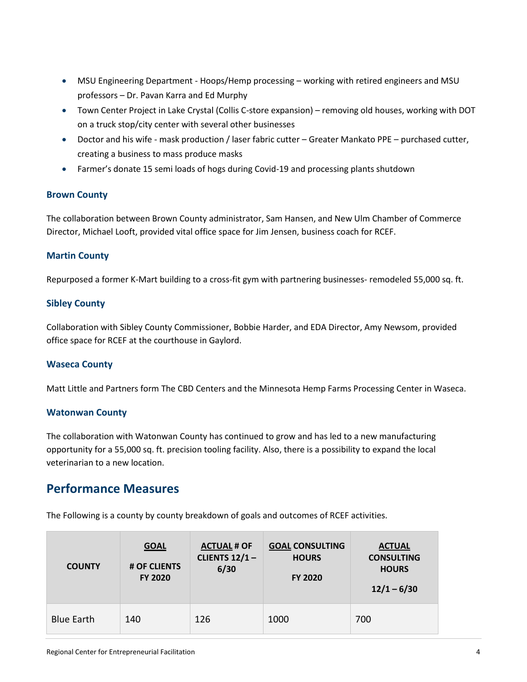- MSU Engineering Department Hoops/Hemp processing working with retired engineers and MSU professors – Dr. Pavan Karra and Ed Murphy
- Town Center Project in Lake Crystal (Collis C-store expansion) removing old houses, working with DOT on a truck stop/city center with several other businesses
- Doctor and his wife mask production / laser fabric cutter Greater Mankato PPE purchased cutter, creating a business to mass produce masks
- Farmer's donate 15 semi loads of hogs during Covid-19 and processing plants shutdown

#### **Brown County**

The collaboration between Brown County administrator, Sam Hansen, and New Ulm Chamber of Commerce Director, Michael Looft, provided vital office space for Jim Jensen, business coach for RCEF.

#### **Martin County**

Repurposed a former K-Mart building to a cross-fit gym with partnering businesses- remodeled 55,000 sq. ft.

#### **Sibley County**

Collaboration with Sibley County Commissioner, Bobbie Harder, and EDA Director, Amy Newsom, provided office space for RCEF at the courthouse in Gaylord.

#### **Waseca County**

Matt Little and Partners form The CBD Centers and the Minnesota Hemp Farms Processing Center in Waseca.

#### **Watonwan County**

The collaboration with Watonwan County has continued to grow and has led to a new manufacturing opportunity for a 55,000 sq. ft. precision tooling facility. Also, there is a possibility to expand the local veterinarian to a new location.

### <span id="page-3-0"></span>**Performance Measures**

The Following is a county by county breakdown of goals and outcomes of RCEF activities.

| <b>COUNTY</b>     | <b>GOAL</b><br># OF CLIENTS<br><b>FY 2020</b> | <b>ACTUAL # OF</b><br>CLIENTS $12/1 -$<br>6/30 | <b>GOAL CONSULTING</b><br><b>HOURS</b><br><b>FY 2020</b> | <b>ACTUAL</b><br><b>CONSULTING</b><br><b>HOURS</b><br>$12/1 - 6/30$ |
|-------------------|-----------------------------------------------|------------------------------------------------|----------------------------------------------------------|---------------------------------------------------------------------|
| <b>Blue Earth</b> | 140                                           | 126                                            | 1000                                                     | 700                                                                 |